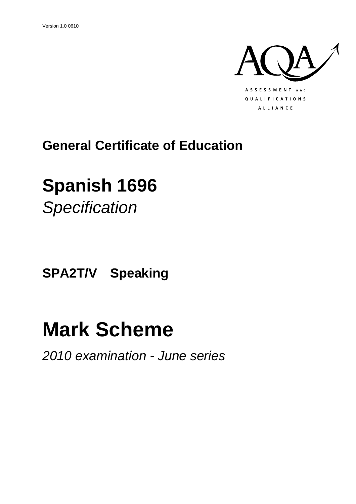

### **General Certificate of Education**

# **Spanish 1696**

*Specification*

**SPA2T/V Speaking**

## **Mark Scheme**

*2010 examination - June series*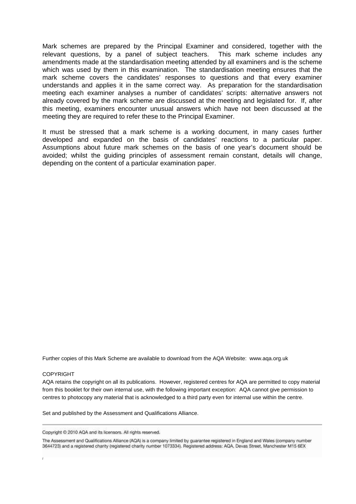Mark schemes are prepared by the Principal Examiner and considered, together with the relevant questions, by a panel of subject teachers. This mark scheme includes any amendments made at the standardisation meeting attended by all examiners and is the scheme which was used by them in this examination. The standardisation meeting ensures that the mark scheme covers the candidates' responses to questions and that every examiner understands and applies it in the same correct way. As preparation for the standardisation meeting each examiner analyses a number of candidates' scripts: alternative answers not already covered by the mark scheme are discussed at the meeting and legislated for. If, after this meeting, examiners encounter unusual answers which have not been discussed at the meeting they are required to refer these to the Principal Examiner.

It must be stressed that a mark scheme is a working document, in many cases further developed and expanded on the basis of candidates' reactions to a particular paper. Assumptions about future mark schemes on the basis of one year's document should be avoided; whilst the guiding principles of assessment remain constant, details will change, depending on the content of a particular examination paper.

Further copies of this Mark Scheme are available to download from the AQA Website: www.aqa.org.uk

#### COPYRIGHT

*l*

AQA retains the copyright on all its publications. However, registered centres for AQA are permitted to copy material from this booklet for their own internal use, with the following important exception: AQA cannot give permission to centres to photocopy any material that is acknowledged to a third party even for internal use within the centre.

Set and published by the Assessment and Qualifications Alliance.

Copyright © 2010 AQA and its licensors. All rights reserved.

The Assessment and Qualifications Alliance (AQA) is a company limited by guarantee registered in England and Wales (company number 3644723) and a registered charity (registered charity number 1073334). Registered address: AQA, Devas Street, Manchester M15 6EX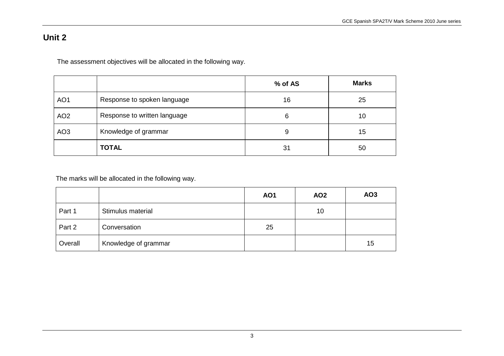#### **Unit 2**

The assessment objectives will be allocated in the following way.

|                 |                              | % of AS | <b>Marks</b> |
|-----------------|------------------------------|---------|--------------|
| AO <sub>1</sub> | Response to spoken language  | 16      | 25           |
| AO <sub>2</sub> | Response to written language | 6       | 10           |
| AO <sub>3</sub> | Knowledge of grammar         | 9       | 15           |
|                 | <b>TOTAL</b>                 | 31      | 50           |

The marks will be allocated in the following way.

|         |                      | <b>AO1</b> | AO <sub>2</sub> | AO <sub>3</sub> |
|---------|----------------------|------------|-----------------|-----------------|
| Part 1  | Stimulus material    |            | 10              |                 |
| Part 2  | Conversation         | 25         |                 |                 |
| Overall | Knowledge of grammar |            |                 | 15              |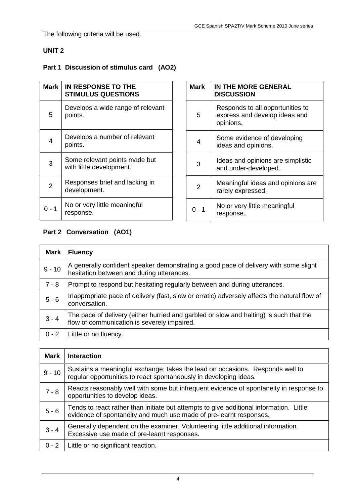The following criteria will be used.

#### **UNIT 2**

#### **Part 1 Discussion of stimulus card (AO2)**

| Mark | IN RESPONSE TO THE<br><b>STIMULUS QUESTIONS</b>           |
|------|-----------------------------------------------------------|
| 5    | Develops a wide range of relevant<br>points.              |
| 4    | Develops a number of relevant<br>points.                  |
| 3    | Some relevant points made but<br>with little development. |
| 2    | Responses brief and lacking in<br>development.            |
| - 1  | No or very little meaningful<br>response.                 |

| Mark          | IN THE MORE GENERAL<br><b>DISCUSSION</b>                                       |
|---------------|--------------------------------------------------------------------------------|
| 5             | Responds to all opportunities to<br>express and develop ideas and<br>opinions. |
| 4             | Some evidence of developing<br>ideas and opinions.                             |
| 3             | Ideas and opinions are simplistic<br>and under-developed.                      |
| $\mathcal{P}$ | Meaningful ideas and opinions are<br>rarely expressed.                         |
| ი - 1         | No or very little meaningful<br>response.                                      |

#### **Part 2 Conversation (AO1)**

| Mark     | <b>Fluency</b>                                                                                                                        |
|----------|---------------------------------------------------------------------------------------------------------------------------------------|
| $9 - 10$ | A generally confident speaker demonstrating a good pace of delivery with some slight<br>hesitation between and during utterances.     |
| $7 - 8$  | Prompt to respond but hesitating regularly between and during utterances.                                                             |
| $5 - 6$  | Inappropriate pace of delivery (fast, slow or erratic) adversely affects the natural flow of<br>conversation.                         |
| $3 - 4$  | The pace of delivery (either hurried and garbled or slow and halting) is such that the<br>flow of communication is severely impaired. |
| $0 - 2$  | Little or no fluency.                                                                                                                 |

| <b>Mark</b> | <b>Interaction</b>                                                                                                                                            |
|-------------|---------------------------------------------------------------------------------------------------------------------------------------------------------------|
| $9 - 10$    | Sustains a meaningful exchange; takes the lead on occasions. Responds well to<br>regular opportunities to react spontaneously in developing ideas.            |
| $7 - 8$     | Reacts reasonably well with some but infrequent evidence of spontaneity in response to<br>opportunities to develop ideas.                                     |
| $5 - 6$     | Tends to react rather than initiate but attempts to give additional information. Little<br>evidence of spontaneity and much use made of pre-learnt responses. |
| $3 - 4$     | Generally dependent on the examiner. Volunteering little additional information.<br>Excessive use made of pre-learnt responses.                               |
| $0 - 2$     | Little or no significant reaction.                                                                                                                            |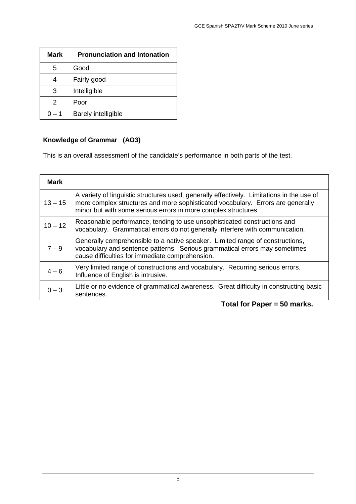| Mark     | <b>Pronunciation and Intonation</b> |
|----------|-------------------------------------|
| 5        | Good                                |
| 4        | Fairly good                         |
| 3        | Intelligible                        |
| 2        | Poor                                |
| $() - 1$ | <b>Barely intelligible</b>          |

#### **Knowledge of Grammar (AO3)**

This is an overall assessment of the candidate's performance in both parts of the test.

| <b>Mark</b> |                                                                                                                                                                                                                                                |
|-------------|------------------------------------------------------------------------------------------------------------------------------------------------------------------------------------------------------------------------------------------------|
| $13 - 15$   | A variety of linguistic structures used, generally effectively. Limitations in the use of<br>more complex structures and more sophisticated vocabulary. Errors are generally<br>minor but with some serious errors in more complex structures. |
| $10 - 12$   | Reasonable performance, tending to use unsophisticated constructions and<br>vocabulary. Grammatical errors do not generally interfere with communication.                                                                                      |
| $7 - 9$     | Generally comprehensible to a native speaker. Limited range of constructions,<br>vocabulary and sentence patterns. Serious grammatical errors may sometimes<br>cause difficulties for immediate comprehension.                                 |
| $4 - 6$     | Very limited range of constructions and vocabulary. Recurring serious errors.<br>Influence of English is intrusive.                                                                                                                            |
| $0 - 3$     | Little or no evidence of grammatical awareness. Great difficulty in constructing basic<br>sentences.                                                                                                                                           |

#### **Total for Paper = 50 marks.**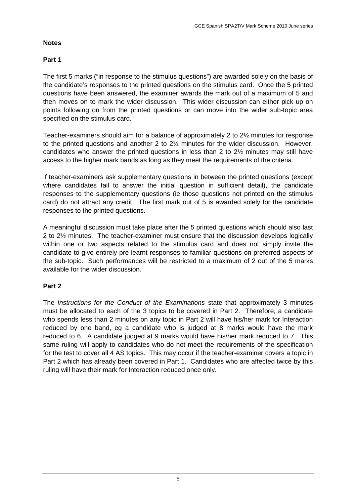#### **Notes**

#### **Part 1**

The first 5 marks ("in response to the stimulus questions") are awarded solely on the basis of the candidate's responses to the printed questions on the stimulus card. Once the 5 printed questions have been answered, the examiner awards the mark out of a maximum of 5 and then moves on to mark the wider discussion. This wider discussion can either pick up on points following on from the printed questions or can move into the wider sub-topic area specified on the stimulus card.

Teacher-examiners should aim for a balance of approximately 2 to 2½ minutes for response to the printed questions and another 2 to 2½ minutes for the wider discussion. However, candidates who answer the printed questions in less than 2 to 2½ minutes may still have access to the higher mark bands as long as they meet the requirements of the criteria.

If teacher-examiners ask supplementary questions in between the printed questions (except where candidates fail to answer the initial question in sufficient detail), the candidate responses to the supplementary questions (ie those questions not printed on the stimulus card) do not attract any credit. The first mark out of 5 is awarded solely for the candidate responses to the printed questions.

A meaningful discussion must take place after the 5 printed questions which should also last 2 to 2½ minutes. The teacher-examiner must ensure that the discussion develops logically within one or two aspects related to the stimulus card and does not simply invite the candidate to give entirely pre-learnt responses to familiar questions on preferred aspects of the sub-topic. Such performances will be restricted to a maximum of 2 out of the 5 marks available for the wider discussion.

#### **Part 2**

The *Instructions for the Conduct of the Examinations* state that approximately 3 minutes must be allocated to each of the 3 topics to be covered in Part 2. Therefore, a candidate who spends less than 2 minutes on any topic in Part 2 will have his/her mark for Interaction reduced by one band, eg a candidate who is judged at 8 marks would have the mark reduced to 6. A candidate judged at 9 marks would have his/her mark reduced to 7. This same ruling will apply to candidates who do not meet the requirements of the specification for the test to cover all 4 AS topics. This may occur if the teacher-examiner covers a topic in Part 2 which has already been covered in Part 1. Candidates who are affected twice by this ruling will have their mark for Interaction reduced once only.